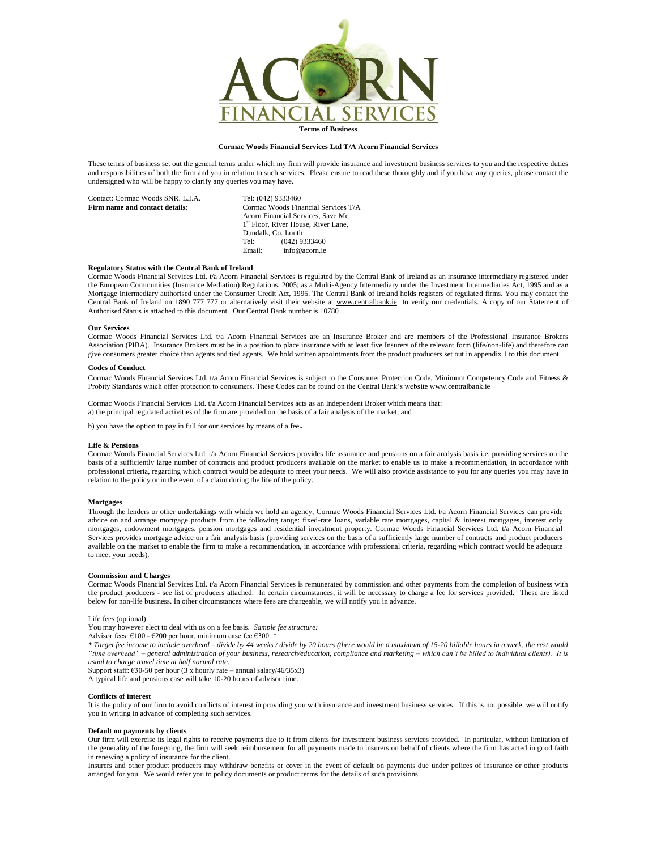

# **Cormac Woods Financial Services Ltd T/A Acorn Financial Services**

These terms of business set out the general terms under which my firm will provide insurance and investment business services to you and the respective duties and responsibilities of both the firm and you in relation to such services. Please ensure to read these thoroughly and if you have any queries, please contact the undersigned who will be happy to clarify any queries you may have.

| Contact: Cormac Woods SNR. L.I.A. | Tel: (042) 9333460                              |
|-----------------------------------|-------------------------------------------------|
| Firm name and contact details:    | Cormac Woods Financial Services T/A             |
|                                   | Acorn Financial Services, Save Me               |
|                                   | 1 <sup>st</sup> Floor, River House, River Lane, |
|                                   | Dundalk, Co. Louth                              |
|                                   | $(042)$ 9333460<br>Tel:                         |
|                                   | info@acorn.ie<br>Email:                         |
|                                   |                                                 |

#### **Regulatory Status with the Central Bank of Ireland**

Cormac Woods Financial Services Ltd. t/a Acorn Financial Services is regulated by the Central Bank of Ireland as an insurance intermediary registered under the European Communities (Insurance Mediation) Regulations, 2005; as a Multi-Agency Intermediary under the Investment Intermediaries Act, 1995 and as a Mortgage Intermediary authorised under the Consumer Credit Act, 1995. The Central Bank of Ireland holds registers of regulated firms. You may contact the Central Bank of Ireland on 1890 777 777 or alternatively visit their website at [www.centralbank.ie](http://www.centralbank.ie/) to verify our credentials. A copy of our Statement of Authorised Status is attached to this document. Our Central Bank number is 10780

#### **Our Services**

Cormac Woods Financial Services Ltd. t/a Acorn Financial Services are an Insurance Broker and are members of the Professional Insurance Brokers Association (PIBA). Insurance Brokers must be in a position to place insurance with at least five Insurers of the relevant form (life/non-life) and therefore can give consumers greater choice than agents and tied agents. We hold written appointments from the product producers set out in appendix 1 to this document.

#### **Codes of Conduct**

Cormac Woods Financial Services Ltd. t/a Acorn Financial Services is subject to the Consumer Protection Code, Minimum Competency Code and Fitness & Probity Standards which offer protection to consumers. These Codes can be found on the Central Bank's websit[e www.centralbank.ie](http://www.centralbank.ie/)

Cormac Woods Financial Services Ltd. t/a Acorn Financial Services acts as an Independent Broker which means that: a) the principal regulated activities of the firm are provided on the basis of a fair analysis of the market; and

b) you have the option to pay in full for our services by means of a fee.

#### **Life & Pensions**

Cormac Woods Financial Services Ltd. t/a Acorn Financial Services provides life assurance and pensions on a fair analysis basis i.e. providing services on the basis of a sufficiently large number of contracts and product producers available on the market to enable us to make a recommendation, in accordance with professional criteria, regarding which contract would be adequate to meet your needs. We will also provide assistance to you for any queries you may have in relation to the policy or in the event of a claim during the life of the policy.

#### **Mortgages**

Through the lenders or other undertakings with which we hold an agency, Cormac Woods Financial Services Ltd. t/a Acorn Financial Services can provide advice on and arrange mortgage products from the following range: fixed-rate loans, variable rate mortgages, capital & interest mortgages, interest only mortgages, endowment mortgages, pension mortgages and residential investment property. Cormac Woods Financial Services Ltd. t/a Acorn Financial Services provides mortgage advice on a fair analysis basis (providing services on the basis of a sufficiently large number of contracts and product producers available on the market to enable the firm to make a recommendation, in accordance with professional criteria, regarding which contract would be adequate to meet your needs).

### **Commission and Charges**

Cormac Woods Financial Services Ltd. t/a Acorn Financial Services is remunerated by commission and other payments from the completion of business with the product producers - see list of producers attached. In certain circumstances, it will be necessary to charge a fee for services provided. These are listed below for non-life business. In other circumstances where fees are chargeable, we will notify you in advance.

Life fees (optional)

You may however elect to deal with us on a fee basis. *Sample fee structure:*

Advisor fees: €100 - €200 per hour, minimum case fee €300. \*

*\* Target fee income to include overhead – divide by 44 weeks / divide by 20 hours (there would be a maximum of 15-20 billable hours in a week, the rest would "time overhead" – general administration of your business, research/education, compliance and marketing – which can't be billed to individual clients). It is usual to charge travel time at half normal rate.*

Support staff:  $\epsilon$ 30-50 per hour (3 x hourly rate – annual salary/46/35x3)

A typical life and pensions case will take 10-20 hours of advisor time.

## **Conflicts of interest**

It is the policy of our firm to avoid conflicts of interest in providing you with insurance and investment business services. If this is not possible, we will notify you in writing in advance of completing such services.

## **Default on payments by clients**

Our firm will exercise its legal rights to receive payments due to it from clients for investment business services provided. In particular, without limitation of the generality of the foregoing, the firm will seek reimbursement for all payments made to insurers on behalf of clients where the firm has acted in good faith in renewing a policy of insurance for the client.

Insurers and other product producers may withdraw benefits or cover in the event of default on payments due under polices of insurance or other products arranged for you. We would refer you to policy documents or product terms for the details of such provisions.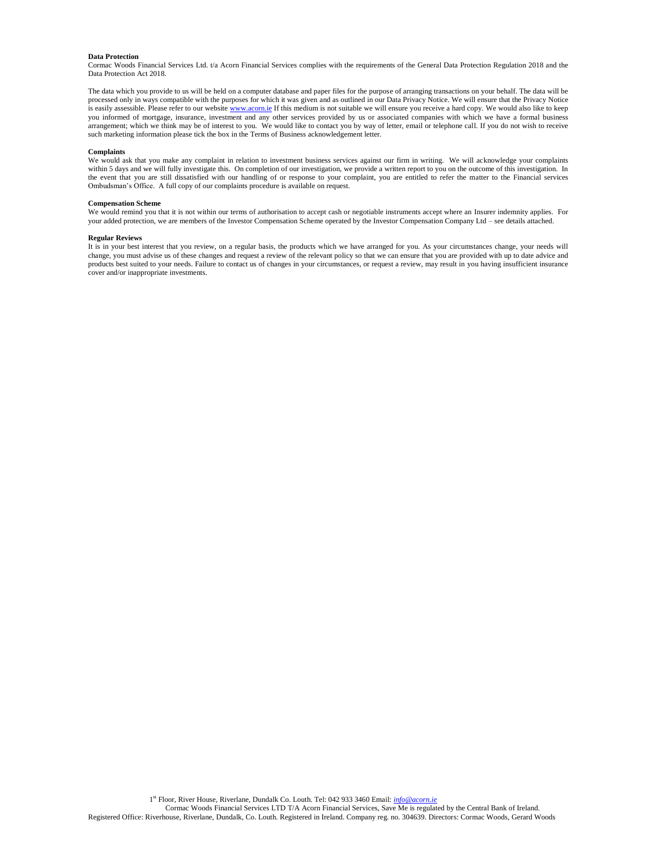#### **Data Protection**

Cormac Woods Financial Services Ltd. t/a Acorn Financial Services complies with the requirements of the General Data Protection Regulation 2018 and the Data Protection Act 2018.

The data which you provide to us will be held on a computer database and paper files for the purpose of arranging transactions on your behalf. The data will be processed only in ways compatible with the purposes for which it was given and as outlined in our Data Privacy Notice. We will ensure that the Privacy Notice is easily assessible. Please refer to our websit[e www.acorn.ie](http://www.acorn.ie/) If this medium is not suitable we will ensure you receive a hard copy. We would also like to keep you informed of mortgage, insurance, investment and any other services provided by us or associated companies with which we have a formal business arrangement; which we think may be of interest to you. We would like to contact you by way of letter, email or telephone call. If you do not wish to receive such marketing information please tick the box in the Terms of Business acknowledgement letter.

# **Complaints**

We would ask that you make any complaint in relation to investment business services against our firm in writing. We will acknowledge your complaints within 5 days and we will fully investigate this. On completion of our investigation, we provide a written report to you on the outcome of this investigation. In the event that you are still dissatisfied with our handling of or response to your complaint, you are entitled to refer the matter to the Financial services Ombudsman's Office. A full copy of our complaints procedure is available on request.

#### **Compensation Scheme**

We would remind you that it is not within our terms of authorisation to accept cash or negotiable instruments accept where an Insurer indemnity applies. For your added protection, we are members of the Investor Compensation Scheme operated by the Investor Compensation Company Ltd – see details attached.

### **Regular Reviews**

It is in your best interest that you review, on a regular basis, the products which we have arranged for you. As your circumstances change, your needs will change, you must advise us of these changes and request a review of the relevant policy so that we can ensure that you are provided with up to date advice and products best suited to your needs. Failure to contact us of changes in your circumstances, or request a review, may result in you having insufficient insurance cover and/or inappropriate investments.